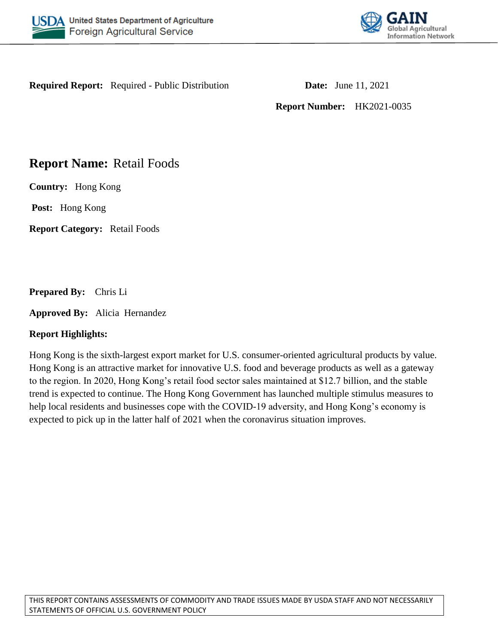



**Required Report:** Required - Public Distribution **Date:** June 11, 2021

**Report Number:** HK2021-0035

# **Report Name:** Retail Foods

**Country:** Hong Kong

**Post:** Hong Kong

**Report Category:** Retail Foods

**Prepared By:** Chris Li

**Approved By:** Alicia Hernandez

# **Report Highlights:**

Hong Kong is the sixth-largest export market for U.S. consumer-oriented agricultural products by value. Hong Kong is an attractive market for innovative U.S. food and beverage products as well as a gateway to the region. In 2020, Hong Kong's retail food sector sales maintained at \$12.7 billion, and the stable trend is expected to continue. The Hong Kong Government has launched multiple stimulus measures to help local residents and businesses cope with the COVID-19 adversity, and Hong Kong's economy is expected to pick up in the latter half of 2021 when the coronavirus situation improves.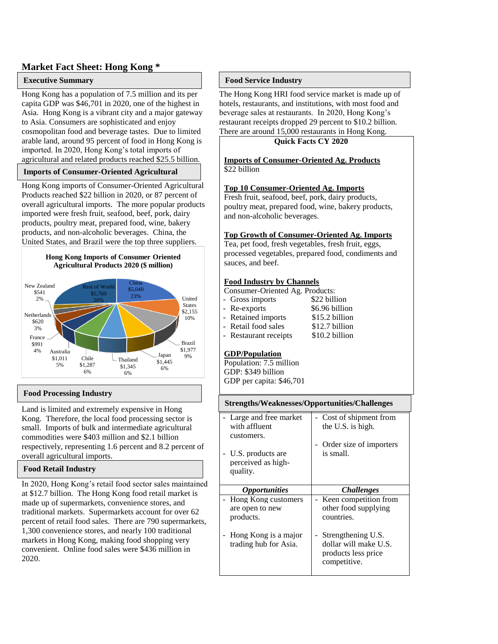#### **Market Fact Sheet: Hong Kong \***

#### **Executive Summary**

Hong Kong has a population of 7.5 million and its per capita GDP was \$46,701 in 2020, one of the highest in Asia. Hong Kong is a vibrant city and a major gateway to Asia. Consumers are sophisticated and enjoy cosmopolitan food and beverage tastes. Due to limited arable land, around 95 percent of food in Hong Kong is imported. In 2020, Hong Kong's total imports of agricultural and related products reached \$25.5 billion.

#### **Imports of Consumer-Oriented Agricultural**

**Hong Kong imports of Consumer-Oriented Agricultural** Products reached \$22 billion in 2020, or 87 percent of overall agricultural imports. The more popular products imported were fresh fruit, seafood, beef, pork, dairy products, poultry meat, prepared food, wine, bakery products, and non-alcoholic beverages. China, the United States, and Brazil were the top three suppliers.





#### **Food Processing Industry**

Land is limited and extremely expensive in Hong Kong. Therefore, the local food processing sector is small. Imports of bulk and intermediate agricultural commodities were \$403 million and \$2.1 billion respectively, representing 1.6 percent and 8.2 percent of overall agricultural imports.

#### **Food Retail Industry**

In 2020, Hong Kong's retail food sector sales maintained at \$12.7 billion. The Hong Kong food retail market is made up of supermarkets, convenience stores, and traditional markets. Supermarkets account for over 62 percent of retail food sales. There are 790 supermarkets, 1,300 convenience stores, and nearly 100 traditional markets in Hong Kong, making food shopping very convenient. Online food sales were \$436 million in 2020.

#### **Food Service Industry**

The Hong Kong HRI food service market is made up of hotels, restaurants, and institutions, with most food and beverage sales at restaurants. In 2020, Hong Kong's restaurant receipts dropped 29 percent to \$10.2 billion. There are around 15,000 restaurants in Hong Kong.

#### **Quick Facts CY 2020**

**Imports of Consumer-Oriented Ag. Products** \$22 billion

#### **Top 10 Consumer-Oriented Ag. Imports**

Fresh fruit, seafood, beef, pork, dairy products, poultry meat, prepared food, wine, bakery products, and non-alcoholic beverages.

#### **Top Growth of Consumer-Oriented Ag. Imports**

Tea, pet food, fresh vegetables, fresh fruit, eggs, processed vegetables, prepared food, condiments and sauces, and beef.

#### **Food Industry by Channels**

Consumer-Oriented Ag. Products:

| - Gross imports        | \$22 billion    |
|------------------------|-----------------|
| - Re-exports           | \$6.96 billion  |
| - Retained imports     | \$15.2 billion  |
| - Retail food sales    | \$12.7 billion  |
| $D$ octourant rogaints | $0.102$ hillian |

Restaurant receipts \$10.2 billion

#### **GDP/Population**

Population: 7.5 million GDP: \$349 billion GDP per capita: \$46,701

| Strengths/Weaknesses/Opportunities/Challenges          |                                                             |  |  |  |  |
|--------------------------------------------------------|-------------------------------------------------------------|--|--|--|--|
| - Large and free market<br>with affluent<br>customers. | Cost of shipment from<br>the U.S. is high.                  |  |  |  |  |
| U.S. products are                                      | Order size of importers<br>is small.                        |  |  |  |  |
| perceived as high-<br>quality.                         |                                                             |  |  |  |  |
|                                                        |                                                             |  |  |  |  |
| <i><b>Opportunities</b></i>                            | <i>Challenges</i>                                           |  |  |  |  |
| Hong Kong customers<br>are open to new<br>products.    | Keen competition from<br>other food supplying<br>countries. |  |  |  |  |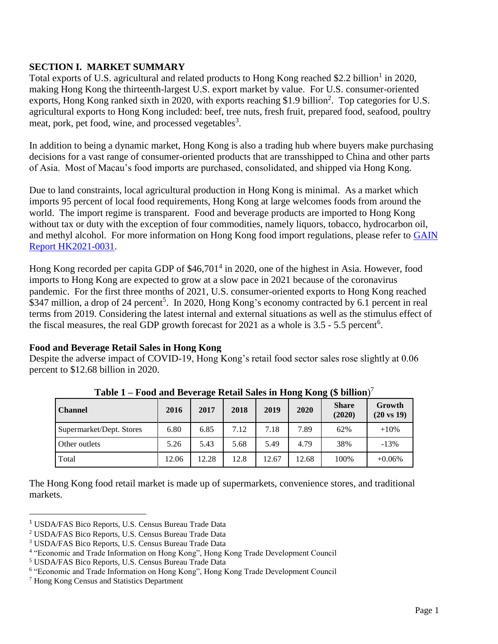# **SECTION I. MARKET SUMMARY**

Total exports of U.S. agricultural and related products to Hong Kong reached \$2.2 billion<sup>1</sup> in 2020, making Hong Kong the thirteenth-largest U.S. export market by value. For U.S. consumer-oriented exports, Hong Kong ranked sixth in 2020, with exports reaching \$1.9 billion<sup>2</sup>. Top categories for U.S. agricultural exports to Hong Kong included: beef, tree nuts, fresh fruit, prepared food, seafood, poultry meat, pork, pet food, wine, and processed vegetables<sup>3</sup>.

In addition to being a dynamic market, Hong Kong is also a trading hub where buyers make purchasing decisions for a vast range of consumer-oriented products that are transshipped to China and other parts of Asia. Most of Macau's food imports are purchased, consolidated, and shipped via Hong Kong.

Due to land constraints, local agricultural production in Hong Kong is minimal. As a market which imports 95 percent of local food requirements, Hong Kong at large welcomes foods from around the world. The import regime is transparent. Food and beverage products are imported to Hong Kong without tax or duty with the exception of four commodities, namely liquors, tobacco, hydrocarbon oil, and methyl alcohol. For more information on Hong Kong food import regulations, please refer to [GAIN](https://www.usfoods-hongkong.net/wps/wp-content/uploads/Food-and-Agricultural-Import-Regulations-and-Standards-Country-Report_Hong-Kong_Hong-Kong_06-30-2021.pdf)  [Report HK2021-0031.](https://www.usfoods-hongkong.net/wps/wp-content/uploads/Food-and-Agricultural-Import-Regulations-and-Standards-Country-Report_Hong-Kong_Hong-Kong_06-30-2021.pdf)

Hong Kong recorded per capita GDP of \$46,701<sup>4</sup> in 2020, one of the highest in Asia. However, food imports to Hong Kong are expected to grow at a slow pace in 2021 because of the coronavirus pandemic. For the first three months of 2021, U.S. consumer-oriented exports to Hong Kong reached \$347 million, a drop of 24 percent<sup>5</sup>. In 2020, Hong Kong's economy contracted by 6.1 percent in real terms from 2019. Considering the latest internal and external situations as well as the stimulus effect of the fiscal measures, the real GDP growth forecast for 2021 as a whole is  $3.5 - 5.5$  percent<sup>6</sup>.

# **Food and Beverage Retail Sales in Hong Kong**

Despite the adverse impact of COVID-19, Hong Kong's retail food sector sales rose slightly at 0.06 percent to \$12.68 billion in 2020.

| $1$ abit $1 - 1$ over and Develage include baies in Tiong Tyong ( $\phi$ billion) |       |       |      |       |       |                        |                                 |  |
|-----------------------------------------------------------------------------------|-------|-------|------|-------|-------|------------------------|---------------------------------|--|
| <b>Channel</b>                                                                    | 2016  | 2017  | 2018 | 2019  | 2020  | <b>Share</b><br>(2020) | Growth<br>$(20 \text{ vs } 19)$ |  |
| Supermarket/Dept. Stores                                                          | 6.80  | 6.85  | 7.12 | 7.18  | 7.89  | 62%                    | $+10%$                          |  |
| Other outlets                                                                     | 5.26  | 5.43  | 5.68 | 5.49  | 4.79  | 38%                    | $-13%$                          |  |
| Total                                                                             | 12.06 | 12.28 | 12.8 | 12.67 | 12.68 | 100%                   | $+0.06\%$                       |  |

**Table 1 – Food and Beverage Retail Sales in Hong Kong (\$ billion**) 7

The Hong Kong food retail market is made up of supermarkets, convenience stores, and traditional markets.

 $\overline{\phantom{a}}$ 

<sup>1</sup> USDA/FAS Bico Reports, U.S. Census Bureau Trade Data

<sup>2</sup> USDA/FAS Bico Reports, U.S. Census Bureau Trade Data

<sup>3</sup> USDA/FAS Bico Reports, U.S. Census Bureau Trade Data

<sup>4</sup> "Economic and Trade Information on Hong Kong", Hong Kong Trade Development Council

<sup>5</sup> USDA/FAS Bico Reports, U.S. Census Bureau Trade Data

<sup>&</sup>lt;sup>6</sup> "Economic and Trade Information on Hong Kong", Hong Kong Trade Development Council

<sup>7</sup> Hong Kong Census and Statistics Department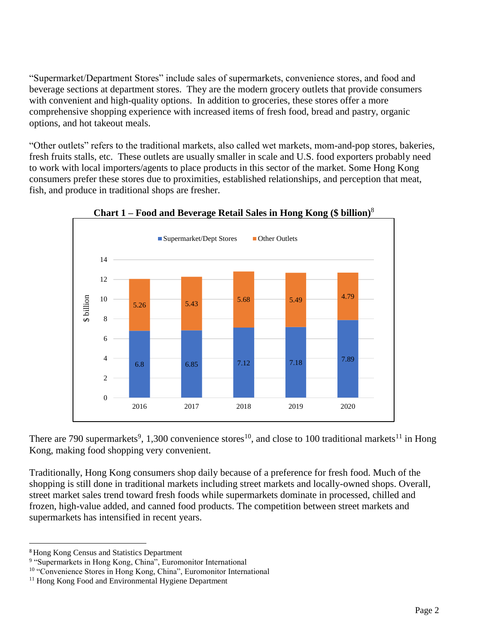"Supermarket/Department Stores" include sales of supermarkets, convenience stores, and food and beverage sections at department stores. They are the modern grocery outlets that provide consumers with convenient and high-quality options. In addition to groceries, these stores offer a more comprehensive shopping experience with increased items of fresh food, bread and pastry, organic options, and hot takeout meals.

"Other outlets" refers to the traditional markets, also called wet markets, mom-and-pop stores, bakeries, fresh fruits stalls, etc. These outlets are usually smaller in scale and U.S. food exporters probably need to work with local importers/agents to place products in this sector of the market. Some Hong Kong consumers prefer these stores due to proximities, established relationships, and perception that meat, fish, and produce in traditional shops are fresher.





There are 790 supermarkets<sup>9</sup>, 1,300 convenience stores<sup>10</sup>, and close to 100 traditional markets<sup>11</sup> in Hong Kong, making food shopping very convenient.

Traditionally, Hong Kong consumers shop daily because of a preference for fresh food. Much of the shopping is still done in traditional markets including street markets and locally-owned shops. Overall, street market sales trend toward fresh foods while supermarkets dominate in processed, chilled and frozen, high-value added, and canned food products. The competition between street markets and supermarkets has intensified in recent years.

<sup>8</sup>Hong Kong Census and Statistics Department

<sup>&</sup>lt;sup>9</sup> "Supermarkets in Hong Kong, China", Euromonitor International

<sup>10</sup> "Convenience Stores in Hong Kong, China", Euromonitor International

<sup>&</sup>lt;sup>11</sup> Hong Kong Food and Environmental Hygiene Department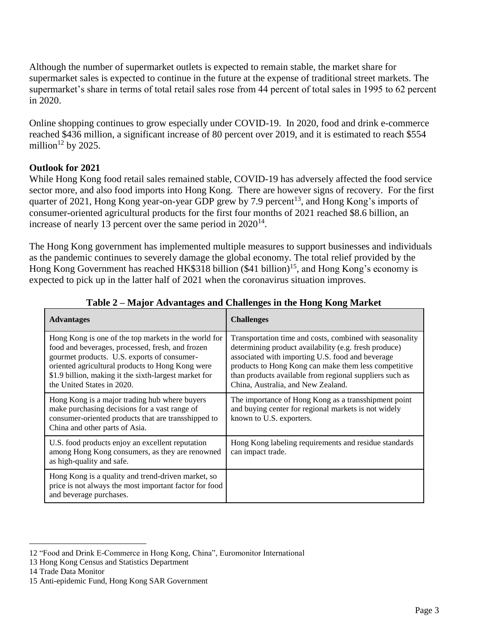Although the number of supermarket outlets is expected to remain stable, the market share for supermarket sales is expected to continue in the future at the expense of traditional street markets. The supermarket's share in terms of total retail sales rose from 44 percent of total sales in 1995 to 62 percent in 2020.

Online shopping continues to grow especially under COVID-19. In 2020, food and drink e-commerce reached \$436 million, a significant increase of 80 percent over 2019, and it is estimated to reach \$554 million $12$  by 2025.

# **Outlook for 2021**

While Hong Kong food retail sales remained stable, COVID-19 has adversely affected the food service sector more, and also food imports into Hong Kong. There are however signs of recovery. For the first quarter of 2021, Hong Kong year-on-year GDP grew by 7.9 percent<sup>13</sup>, and Hong Kong's imports of consumer-oriented agricultural products for the first four months of 2021 reached \$8.6 billion, an increase of nearly 13 percent over the same period in  $2020^{14}$ .

The Hong Kong government has implemented multiple measures to support businesses and individuals as the pandemic continues to severely damage the global economy. The total relief provided by the Hong Kong Government has reached HK\$318 billion (\$41 billion)<sup>15</sup>, and Hong Kong's economy is expected to pick up in the latter half of 2021 when the coronavirus situation improves.

| <b>Advantages</b>                                                                                                                                                                                                                                                                                  | <b>Challenges</b>                                                                                                                                                                                                                                                                                                              |
|----------------------------------------------------------------------------------------------------------------------------------------------------------------------------------------------------------------------------------------------------------------------------------------------------|--------------------------------------------------------------------------------------------------------------------------------------------------------------------------------------------------------------------------------------------------------------------------------------------------------------------------------|
| Hong Kong is one of the top markets in the world for<br>food and beverages, processed, fresh, and frozen<br>gourmet products. U.S. exports of consumer-<br>oriented agricultural products to Hong Kong were<br>\$1.9 billion, making it the sixth-largest market for<br>the United States in 2020. | Transportation time and costs, combined with seasonality<br>determining product availability (e.g. fresh produce)<br>associated with importing U.S. food and beverage<br>products to Hong Kong can make them less competitive<br>than products available from regional suppliers such as<br>China, Australia, and New Zealand. |
| Hong Kong is a major trading hub where buyers<br>make purchasing decisions for a vast range of<br>consumer-oriented products that are transshipped to<br>China and other parts of Asia.                                                                                                            | The importance of Hong Kong as a transshipment point<br>and buying center for regional markets is not widely<br>known to U.S. exporters.                                                                                                                                                                                       |
| U.S. food products enjoy an excellent reputation<br>among Hong Kong consumers, as they are renowned<br>as high-quality and safe.                                                                                                                                                                   | Hong Kong labeling requirements and residue standards<br>can impact trade.                                                                                                                                                                                                                                                     |
| Hong Kong is a quality and trend-driven market, so<br>price is not always the most important factor for food<br>and beverage purchases.                                                                                                                                                            |                                                                                                                                                                                                                                                                                                                                |

**Table 2 – Major Advantages and Challenges in the Hong Kong Market**

<sup>12</sup> "Food and Drink E-Commerce in Hong Kong, China", Euromonitor International

<sup>13</sup> Hong Kong Census and Statistics Department

<sup>14</sup> Trade Data Monitor

<sup>15</sup> Anti-epidemic Fund, Hong Kong SAR Government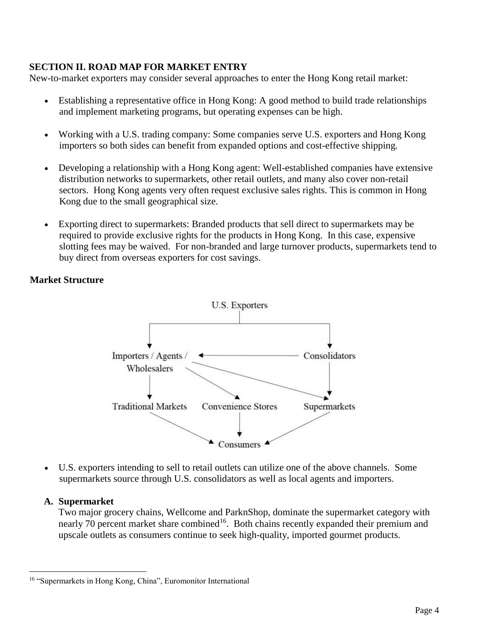### **SECTION II. ROAD MAP FOR MARKET ENTRY**

New-to-market exporters may consider several approaches to enter the Hong Kong retail market:

- Establishing a representative office in Hong Kong: A good method to build trade relationships and implement marketing programs, but operating expenses can be high.
- Working with a U.S. trading company: Some companies serve U.S. exporters and Hong Kong importers so both sides can benefit from expanded options and cost-effective shipping.
- Developing a relationship with a Hong Kong agent: Well-established companies have extensive distribution networks to supermarkets, other retail outlets, and many also cover non-retail sectors. Hong Kong agents very often request exclusive sales rights. This is common in Hong Kong due to the small geographical size.
- Exporting direct to supermarkets: Branded products that sell direct to supermarkets may be required to provide exclusive rights for the products in Hong Kong. In this case, expensive slotting fees may be waived. For non-branded and large turnover products, supermarkets tend to buy direct from overseas exporters for cost savings.

# **Market Structure**



 U.S. exporters intending to sell to retail outlets can utilize one of the above channels. Some supermarkets source through U.S. consolidators as well as local agents and importers.

### **A. Supermarket**

Two major grocery chains, Wellcome and ParknShop, dominate the supermarket category with nearly 70 percent market share combined<sup>16</sup>. Both chains recently expanded their premium and upscale outlets as consumers continue to seek high-quality, imported gourmet products.

 $\overline{\phantom{a}}$ <sup>16</sup> "Supermarkets in Hong Kong, China", Euromonitor International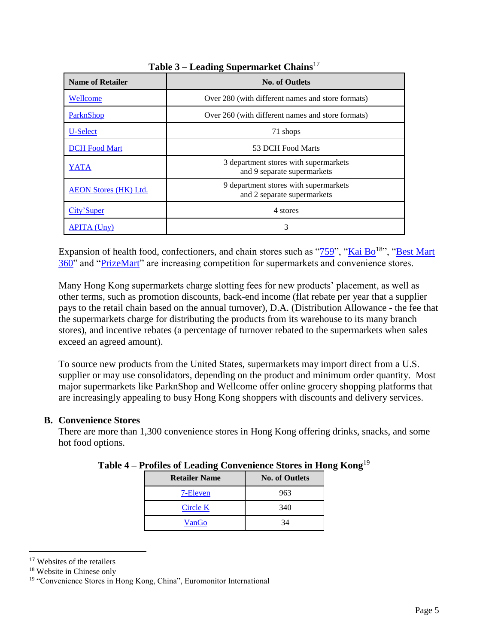| <b>Name of Retailer</b>      | <b>No. of Outlets</b>                                                |  |  |  |
|------------------------------|----------------------------------------------------------------------|--|--|--|
| Wellcome                     | Over 280 (with different names and store formats)                    |  |  |  |
| ParknShop                    | Over 260 (with different names and store formats)                    |  |  |  |
| U-Select                     | 71 shops                                                             |  |  |  |
| <b>DCH</b> Food Mart         | 53 DCH Food Marts                                                    |  |  |  |
| YATA                         | 3 department stores with supermarkets<br>and 9 separate supermarkets |  |  |  |
| <b>AEON Stores (HK) Ltd.</b> | 9 department stores with supermarkets<br>and 2 separate supermarkets |  |  |  |
| City'Super                   | 4 stores                                                             |  |  |  |
| APITA (Unv)                  | 3                                                                    |  |  |  |

**Table 3 – Leading Supermarket Chains**<sup>17</sup>

Expansion of health food, confectioners, and chain stores such as " $759$ ", ["Kai Bo](http://www.kaibo.com.hk/main.html)<sup>18</sup>", "Best Mart [360"](https://www.bestmart360.com/) and ["PrizeMart"](https://www.prizemart.com/index.php/en) are increasing competition for supermarkets and convenience stores.

Many Hong Kong supermarkets charge slotting fees for new products' placement, as well as other terms, such as promotion discounts, back-end income (flat rebate per year that a supplier pays to the retail chain based on the annual turnover), D.A. (Distribution Allowance - the fee that the supermarkets charge for distributing the products from its warehouse to its many branch stores), and incentive rebates (a percentage of turnover rebated to the supermarkets when sales exceed an agreed amount).

To source new products from the United States, supermarkets may import direct from a U.S. supplier or may use consolidators, depending on the product and minimum order quantity. Most major supermarkets like ParknShop and Wellcome offer online grocery shopping platforms that are increasingly appealing to busy Hong Kong shoppers with discounts and delivery services.

# **B. Convenience Stores**

There are more than 1,300 convenience stores in Hong Kong offering drinks, snacks, and some hot food options.

| <b>Retailer Name</b> | <b>No. of Outlets</b> |
|----------------------|-----------------------|
| 7-Eleven             | 963                   |
| Circle K             | 340                   |
| VanGo                | 34                    |

|  |  |  | Table 4 - Profiles of Leading Convenience Stores in Hong Kong <sup>19</sup> |  |  |
|--|--|--|-----------------------------------------------------------------------------|--|--|
|--|--|--|-----------------------------------------------------------------------------|--|--|

l

<sup>&</sup>lt;sup>17</sup> Websites of the retailers

<sup>18</sup> Website in Chinese only

<sup>&</sup>lt;sup>19</sup> "Convenience Stores in Hong Kong, China", Euromonitor International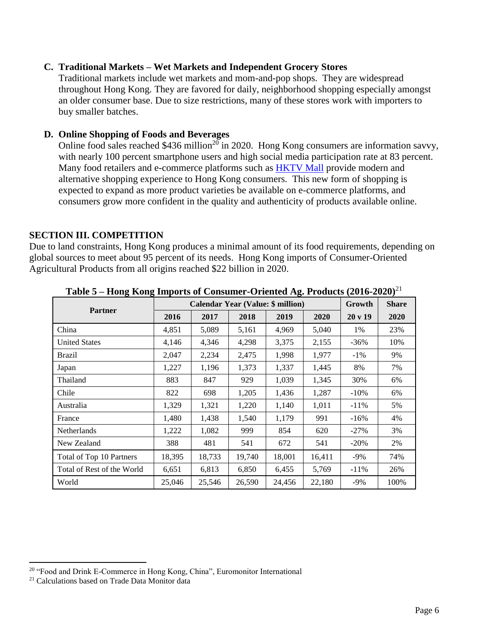### **C. Traditional Markets – Wet Markets and Independent Grocery Stores**

Traditional markets include wet markets and mom-and-pop shops. They are widespread throughout Hong Kong. They are favored for daily, neighborhood shopping especially amongst an older consumer base. Due to size restrictions, many of these stores work with importers to buy smaller batches.

### **D. Online Shopping of Foods and Beverages**

Online food sales reached \$436 million<sup>20</sup> in 2020. Hong Kong consumers are information savvy, with nearly 100 percent smartphone users and high social media participation rate at 83 percent. Many food retailers and e-commerce platforms such as [HKTV Mall](https://www.hktvmall.com/hktv/en/supermarket) provide modern and alternative shopping experience to Hong Kong consumers. This new form of shopping is expected to expand as more product varieties be available on e-commerce platforms, and consumers grow more confident in the quality and authenticity of products available online.

# **SECTION III. COMPETITION**

Due to land constraints, Hong Kong produces a minimal amount of its food requirements, depending on global sources to meet about 95 percent of its needs. Hong Kong imports of Consumer-Oriented Agricultural Products from all origins reached \$22 billion in 2020.

| <b>Calendar Year (Value: \$ million)</b> |        |        |        |        |        | Growth  | <b>Share</b> |
|------------------------------------------|--------|--------|--------|--------|--------|---------|--------------|
| <b>Partner</b>                           | 2016   | 2017   | 2018   | 2019   | 2020   | 20 v 19 | 2020         |
| China                                    | 4,851  | 5,089  | 5,161  | 4,969  | 5,040  | 1%      | 23%          |
| <b>United States</b>                     | 4,146  | 4,346  | 4,298  | 3,375  | 2,155  | $-36%$  | 10%          |
| <b>Brazil</b>                            | 2,047  | 2,234  | 2,475  | 1,998  | 1,977  | $-1\%$  | 9%           |
| Japan                                    | 1,227  | 1,196  | 1,373  | 1,337  | 1,445  | 8%      | 7%           |
| Thailand                                 | 883    | 847    | 929    | 1,039  | 1,345  | 30%     | 6%           |
| Chile                                    | 822    | 698    | 1,205  | 1,436  | 1,287  | $-10%$  | 6%           |
| Australia                                | 1,329  | 1,321  | 1,220  | 1,140  | 1,011  | $-11\%$ | 5%           |
| France                                   | 1,480  | 1,438  | 1,540  | 1,179  | 991    | $-16%$  | 4%           |
| Netherlands                              | 1,222  | 1,082  | 999    | 854    | 620    | $-27%$  | 3%           |
| New Zealand                              | 388    | 481    | 541    | 672    | 541    | $-20%$  | 2%           |
| Total of Top 10 Partners                 | 18,395 | 18,733 | 19,740 | 18,001 | 16,411 | $-9\%$  | 74%          |
| Total of Rest of the World               | 6,651  | 6,813  | 6,850  | 6,455  | 5,769  | $-11\%$ | 26%          |
| World                                    | 25,046 | 25,546 | 26,590 | 24,456 | 22,180 | $-9%$   | 100%         |

**Table 5 – Hong Kong Imports of Consumer-Oriented Ag. Products (2016-2020)**<sup>21</sup>

<sup>&</sup>lt;sup>20</sup> "Food and Drink E-Commerce in Hong Kong, China", Euromonitor International

<sup>21</sup> Calculations based on Trade Data Monitor data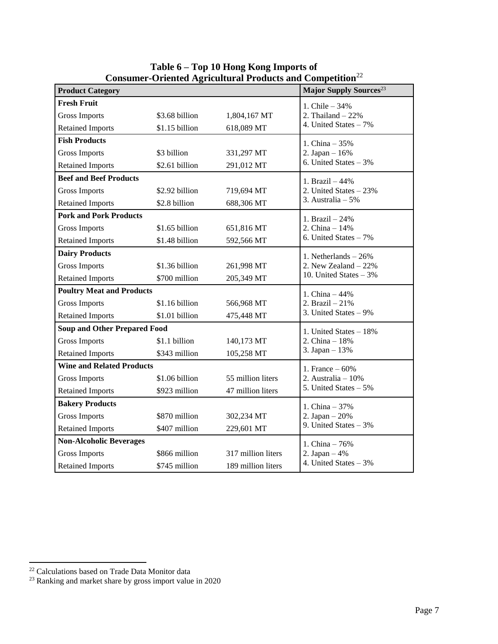|                                     |                                  | Consumer-Oriented Agricultural Froudets and Competition |                                    |  |
|-------------------------------------|----------------------------------|---------------------------------------------------------|------------------------------------|--|
| <b>Product Category</b>             |                                  |                                                         | Major Supply Sources <sup>23</sup> |  |
| <b>Fresh Fruit</b>                  |                                  |                                                         | 1. Chile - 34%                     |  |
| <b>Gross Imports</b>                | \$3.68 billion                   | 1,804,167 MT                                            | 2. Thailand $-22%$                 |  |
| <b>Retained Imports</b>             | \$1.15 billion                   | 618,089 MT                                              | 4. United States - 7%              |  |
| <b>Fish Products</b>                |                                  |                                                         | 1. China $-35%$                    |  |
| <b>Gross Imports</b>                | \$3 billion                      | 331,297 MT                                              | 2. Japan $-16%$                    |  |
| <b>Retained Imports</b>             | \$2.61 billion                   | 291,012 MT                                              | 6. United States $-3\%$            |  |
| <b>Beef and Beef Products</b>       |                                  |                                                         | 1. Brazil $-44%$                   |  |
| <b>Gross Imports</b>                | \$2.92 billion                   | 719,694 MT                                              | 2. United States $-23%$            |  |
| <b>Retained Imports</b>             | \$2.8 billion                    | 688,306 MT                                              | 3. Australia $-5%$                 |  |
| <b>Pork and Pork Products</b>       |                                  |                                                         | 1. Brazil - 24%                    |  |
| <b>Gross Imports</b>                | \$1.65 billion                   | 651,816 MT                                              | 2. China $-14%$                    |  |
| <b>Retained Imports</b>             | \$1.48 billion                   | 592,566 MT                                              | 6. United States $-7\%$            |  |
| <b>Dairy Products</b>               |                                  |                                                         | 1. Netherlands $-26%$              |  |
| <b>Gross Imports</b>                | \$1.36 billion                   | 261,998 MT                                              | 2. New Zealand $-22%$              |  |
| <b>Retained Imports</b>             | \$700 million                    | 205,349 MT                                              | 10. United States $-3%$            |  |
| <b>Poultry Meat and Products</b>    | 1. China $-44%$                  |                                                         |                                    |  |
| <b>Gross Imports</b>                | \$1.16 billion                   | 566,968 MT                                              | 2. Brazil $-21%$                   |  |
| <b>Retained Imports</b>             | \$1.01 billion                   | 475,448 MT                                              | 3. United States $-9\%$            |  |
| <b>Soup and Other Prepared Food</b> | 1. United States - 18%           |                                                         |                                    |  |
| <b>Gross Imports</b>                | \$1.1 billion                    | 140,173 MT                                              | 2. China - 18%                     |  |
| <b>Retained Imports</b>             | \$343 million                    | 105,258 MT                                              | 3. Japan $-13%$                    |  |
|                                     | <b>Wine and Related Products</b> |                                                         |                                    |  |
| <b>Gross Imports</b>                | \$1.06 billion                   | 55 million liters                                       | 2. Australia $-10\%$               |  |
| <b>Retained Imports</b>             | \$923 million                    | 47 million liters                                       | 5. United States - 5%              |  |
| <b>Bakery Products</b>              |                                  |                                                         |                                    |  |
| <b>Gross Imports</b>                | \$870 million                    | 302,234 MT                                              | 2. Japan $-20%$                    |  |
| <b>Retained Imports</b>             | \$407 million                    | 229,601 MT                                              | 9. United States $-3%$             |  |
| <b>Non-Alcoholic Beverages</b>      |                                  |                                                         | 1. China - 76%                     |  |
| <b>Gross Imports</b>                | \$866 million                    | 317 million liters                                      | 2. Japan $-4%$                     |  |
| <b>Retained Imports</b>             | \$745 million                    | 189 million liters                                      | 4. United States $-3%$             |  |

**Table 6 – Top 10 Hong Kong Imports of Consumer-Oriented Agricultural Products and Competition**<sup>22</sup>

<sup>&</sup>lt;sup>22</sup> Calculations based on Trade Data Monitor data

 $23$  Ranking and market share by gross import value in 2020